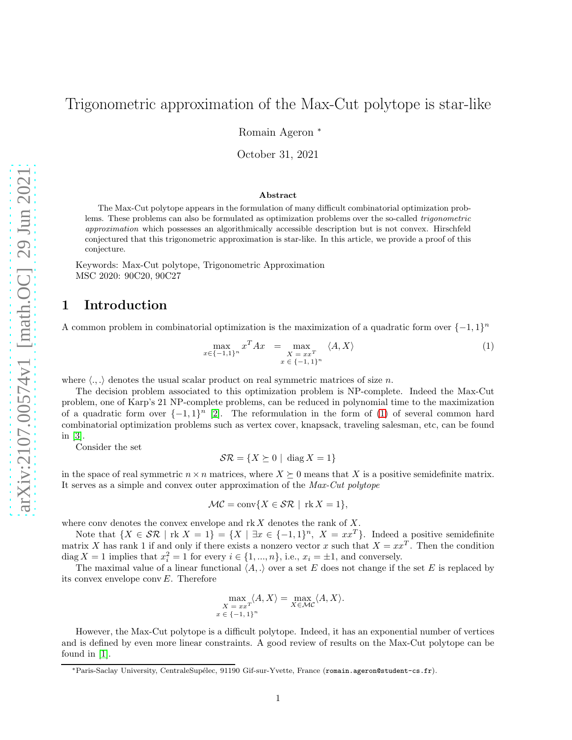# Trigonometric approximation of the Max-Cut polytope is star-like

Romain Ageron <sup>∗</sup>

October 31, 2021

#### Abstract

The Max-Cut polytope appears in the formulation of many difficult combinatorial optimization problems. These problems can also be formulated as optimization problems over the so-called trigonometric approximation which possesses an algorithmically accessible description but is not convex. Hirschfeld conjectured that this trigonometric approximation is star-like. In this article, we provide a proof of this conjecture.

Keywords: Max-Cut polytope, Trigonometric Approximation MSC 2020: 90C20, 90C27

#### 1 Introduction

A common problem in combinatorial optimization is the maximization of a quadratic form over  $\{-1,1\}^n$ 

<span id="page-0-0"></span>
$$
\max_{x \in \{-1,1\}^n} x^T A x = \max_{\substack{X = xx^T \\ x \in \{-1,1\}^n}} \langle A, X \rangle \tag{1}
$$

where  $\langle ., . \rangle$  denotes the usual scalar product on real symmetric matrices of size n.

The decision problem associated to this optimization problem is NP-complete. Indeed the Max-Cut problem, one of Karp's 21 NP-complete problems, can be reduced in polynomial time to the maximization of a quadratic form over  $\{-1,1\}^n$  [\[2\]](#page-2-0). The reformulation in the form of [\(1\)](#page-0-0) of several common hard combinatorial optimization problems such as vertex cover, knapsack, traveling salesman, etc, can be found in [\[3\]](#page-2-1).

Consider the set

 $\mathcal{SR} = \{X \succeq 0 \mid \text{diag } X = 1\}$ 

in the space of real symmetric  $n \times n$  matrices, where  $X \succeq 0$  means that X is a positive semidefinite matrix. It serves as a simple and convex outer approximation of the Max-Cut polytope

$$
\mathcal{MC} = \text{conv}\{X \in \mathcal{SR} \mid \text{rk } X = 1\},\
$$

where conv denotes the convex envelope and  $rk X$  denotes the rank of  $X$ .

Note that  $\{X \in \mathcal{SR} \mid \text{rk } X = 1\} = \{X \mid \exists x \in \{-1,1\}^n, X = xx^T\}.$  Indeed a positive semidefinite matrix X has rank 1 if and only if there exists a nonzero vector x such that  $X = xx^T$ . Then the condition diag  $X = 1$  implies that  $x_i^2 = 1$  for every  $i \in \{1, ..., n\}$ , i.e.,  $x_i = \pm 1$ , and conversely.

The maximal value of a linear functional  $\langle A, \cdot \rangle$  over a set E does not change if the set E is replaced by its convex envelope conv E. Therefore

$$
\max_{\substack{X = xx^T}} \langle A, X \rangle = \max_{X \in \mathcal{MC}} \langle A, X \rangle.
$$
  

$$
x \in \{-1, 1\}^n
$$

However, the Max-Cut polytope is a difficult polytope. Indeed, it has an exponential number of vertices and is defined by even more linear constraints. A good review of results on the Max-Cut polytope can be found in [\[1\]](#page-2-2).

<sup>\*</sup>Paris-Saclay University, CentraleSupélec, 91190 Gif-sur-Yvette, France (romain.ageron@student-cs.fr).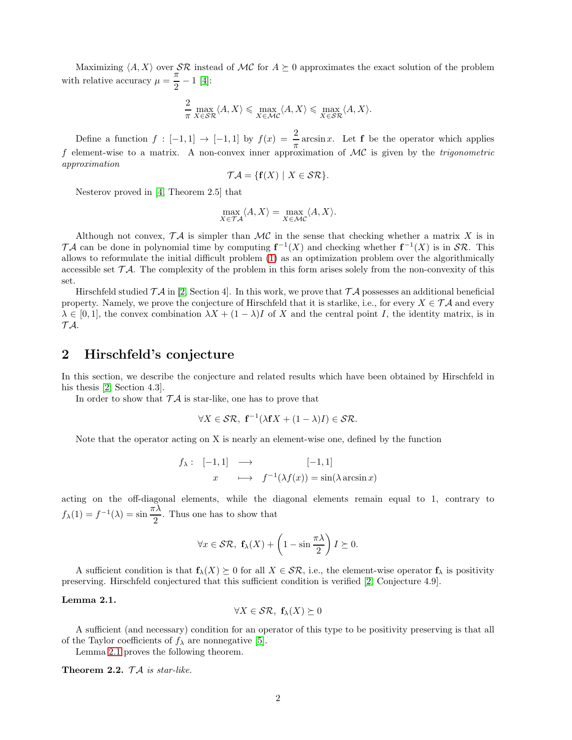Maximizing  $\langle A, X \rangle$  over  $\mathcal{SR}$  instead of  $\mathcal{MC}$  for  $A \succeq 0$  approximates the exact solution of the problem with relative accuracy  $\mu = \frac{\pi}{2}$  $\frac{n}{2} - 1$  [\[4\]](#page-2-3):

$$
\frac{2}{\pi}\max_{X\in\mathcal{SR}}\langle A,X\rangle\leqslant\max_{X\in\mathcal{MC}}\langle A,X\rangle\leqslant\max_{X\in\mathcal{SR}}\langle A,X\rangle.
$$

Define a function  $f : [-1,1] \rightarrow [-1,1]$  by  $f(x) = \frac{2}{\pi} \arcsin x$ . Let **f** be the operator which applies f element-wise to a matrix. A non-convex inner approximation of  $MC$  is given by the *trigonometric* approximation

$$
\mathcal{TA} = \{ \mathbf{f}(X) \mid X \in \mathcal{SR} \}.
$$

Nesterov proved in [\[4,](#page-2-3) Theorem 2.5] that

$$
\max_{X \in \mathcal{T} \mathcal{A}} \langle A, X \rangle = \max_{X \in \mathcal{MC}} \langle A, X \rangle.
$$

Although not convex,  $\mathcal{T}A$  is simpler than  $\mathcal{MC}$  in the sense that checking whether a matrix X is in TA can be done in polynomial time by computing  $f^{-1}(X)$  and checking whether  $f^{-1}(X)$  is in  $\mathcal{SR}$ . This allows to reformulate the initial difficult problem [\(1\)](#page-0-0) as an optimization problem over the algorithmically accessible set  $TA$ . The complexity of the problem in this form arises solely from the non-convexity of this set.

Hirschfeld studied  $\mathcal{T} \mathcal{A}$  in [\[2,](#page-2-0) Section 4]. In this work, we prove that  $\mathcal{T} \mathcal{A}$  possesses an additional beneficial property. Namely, we prove the conjecture of Hirschfeld that it is starlike, i.e., for every  $X \in \mathcal{TA}$  and every  $\lambda \in [0,1]$ , the convex combination  $\lambda X + (1 - \lambda)I$  of X and the central point I, the identity matrix, is in  $T A$ .

### 2 Hirschfeld's conjecture

In this section, we describe the conjecture and related results which have been obtained by Hirschfeld in his thesis [\[2,](#page-2-0) Section 4.3].

In order to show that  $T\mathcal{A}$  is star-like, one has to prove that

$$
\forall X \in \mathcal{SR}, \ \mathbf{f}^{-1}(\lambda \mathbf{f} X + (1 - \lambda)I) \in \mathcal{SR}.
$$

Note that the operator acting on X is nearly an element-wise one, defined by the function

$$
f_{\lambda}: \begin{array}{ccc} [-1,1] & \longrightarrow & [-1,1] \\ x & \longmapsto & f^{-1}(\lambda f(x)) = \sin(\lambda \arcsin x) \end{array}
$$

acting on the off-diagonal elements, while the diagonal elements remain equal to 1, contrary to  $f_{\lambda}(1) = f^{-1}(\lambda) = \sin \frac{\pi \lambda}{2}$ . Thus one has to show that

$$
\forall x \in \mathcal{SR}, \ \mathbf{f}_{\lambda}(X) + \left(1 - \sin \frac{\pi \lambda}{2}\right)I \succeq 0.
$$

A sufficient condition is that  $f_{\lambda}(X) \succeq 0$  for all  $X \in \mathcal{SR}$ , i.e., the element-wise operator  $f_{\lambda}$  is positivity preserving. Hirschfeld conjectured that this sufficient condition is verified [\[2,](#page-2-0) Conjecture 4.9].

#### <span id="page-1-0"></span>Lemma 2.1.

$$
\forall X \in \mathcal{SR}, \ \mathbf{f}_{\lambda}(X) \succeq 0
$$

A sufficient (and necessary) condition for an operator of this type to be positivity preserving is that all of the Taylor coefficients of  $f_{\lambda}$  are nonnegative [\[5\]](#page-2-4).

Lemma [2.1](#page-1-0) proves the following theorem.

Theorem 2.2.  $\mathcal{TA}$  is star-like.